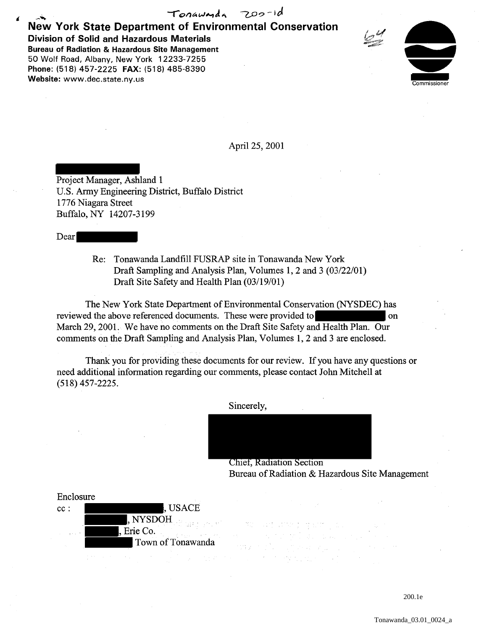## New York State Department of Environmental Conservation  $Tonawada$  200-1d Division of Solid and Hazardous Materials Bureau of Radiation & Hazardous Site Management 50 Wolf Road, Albany, New York 12233-7255 Phone: (518) 457-2225 FAX: (518) 485-8390 Website: www.dec.state.ny.us



April25,2001

Project Manager, Ashland 1 U.S. Army Engineering District, Buffalo District 1776 Niagara Street Buffalo, NY 14207-3199

Dear

Re: Tonawanda Landfill FUSRAP site in Tonawanda New York Draft Sampling and Analysis Plan, Volumes 1, 2 and 3 (03/22/01) Draft Site Safety and Health Plan (03/19/01)

The New York State Department of Environmental Conservation (NYSDEC) has reviewed the above referenced documents. These were provided to on March 29, 2001. We have no comments on the Draft Site Safety and Health Plan. Our comments on the Draft Sampling and Analysis Plan, Volumes 1, 2 and 3 are enclosed.

Thank you for providing these documents for our review. If you have any questions or need additional information regarding our comments, please contact John Mitchell at (518) 457-2225.

739



Chief, Radiation Section Bureau of Radiation & Hazardous Site Management

Enclosure cc:  $\blacksquare$ , NYSDOH , Erie Co. Town of Tonawanda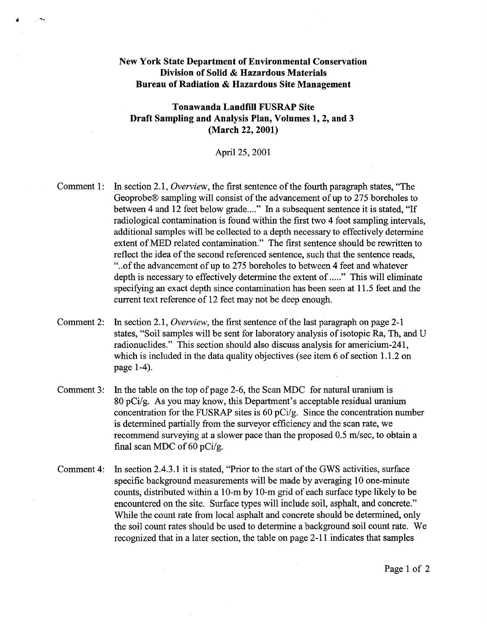## New York State Department of Environmental Conservation Division of Solid & Hazardous Materials Bureau of Radiation & Hazardous Site Management

-

Tonawanda Landfill FUSRAP Site Draft Sampling and Analysis Plan, Volumes 1, 2, and 3 (March 22, 2001)

## April25, 2001

- Comment 1: In section 2.1, *Overview,* the first sentence of the fourth paragraph states, "The Geoprobe® sampling will consist of the advancement of up to 275 boreholes to between 4 and 12 feet below grade...." In a subsequent sentence it is stated, "If radiological contamination is found within the first two 4 foot sampling intervals, additional samples will be collected to a depth necessary to effectively determine extent of MED related contamination." The first sentence should be rewritten to reflect the idea of the second referenced sentence, such that the sentence reads, "... of the advancement of up to 275 boreholes to between 4 feet and whatever depth is necessary to effectively determine the extent of ....." This will eliminate specifying an exact depth since contamination has been seen at 11.5 feet and the current text reference of 12 feet may not be deep enough.
- Comment 2: In section 2.1, *Overview,* the first sentence of the last paragraph on page 2-1 states, "Soil samples will be sent for laboratory analysis of isotopic Ra, Th, and U radionuclides." This section should also discuss analysis for americium-241, which is included in the data quality objectives (see item 6 of section 1.1.2 on page 1-4).
- Comment 3: In the table on the top of page 2-6, the Scan MDC for natural uranium is 80 pCi/g. As you may know, this Department's acceptable residual uranium concentration for the FUSRAP sites is 60 pCi/g. Since the concentration number is determined partially from the surveyor efficiency and the scan rate, we recommend surveying at a slower pace than the proposed 0.5 m/sec, to obtain a final scan MDC of 60 pCi/g.
- Comment 4: In section 2.4.3 .1 it is stated, "Prior to the start of the GWS activities, surface specific background measurements will be made by averaging 10 one-minute counts, distributed within a 10-m by 10-m grid of each surface type likely to be encountered on the site. Surface types will include soil, asphalt, and concrete." While the count rate from local asphalt and concrete should be determined, only the soil count rates should be used to determine a background soil count rate. We recognized that in a later section, the table on page 2-11 indicates that samples